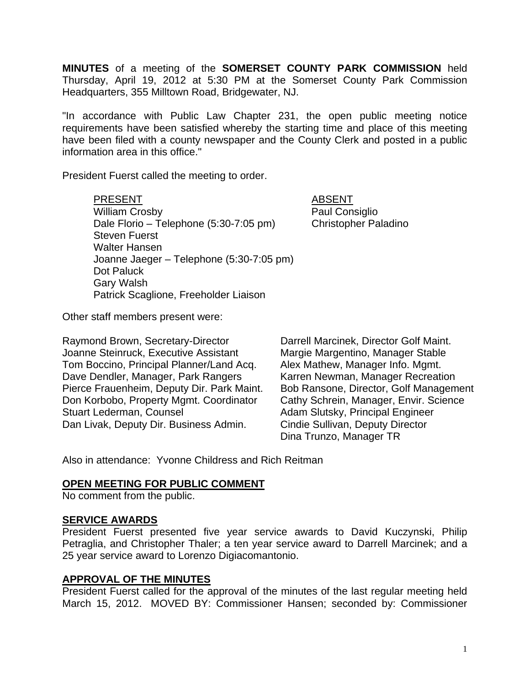**MINUTES** of a meeting of the **SOMERSET COUNTY PARK COMMISSION** held Thursday, April 19, 2012 at 5:30 PM at the Somerset County Park Commission Headquarters, 355 Milltown Road, Bridgewater, NJ.

"In accordance with Public Law Chapter 231, the open public meeting notice requirements have been satisfied whereby the starting time and place of this meeting have been filed with a county newspaper and the County Clerk and posted in a public information area in this office."

President Fuerst called the meeting to order.

PRESENT ABSENT William Crosby **Paul Consiglio** Dale Florio – Telephone (5:30-7:05 pm) Christopher Paladino Steven Fuerst Walter Hansen Joanne Jaeger – Telephone (5:30-7:05 pm) Dot Paluck Gary Walsh Patrick Scaglione, Freeholder Liaison

Other staff members present were:

Raymond Brown, Secretary-Director Darrell Marcinek, Director Golf Maint. Joanne Steinruck, Executive Assistant Margie Margentino, Manager Stable Tom Boccino, Principal Planner/Land Acq. Alex Mathew, Manager Info. Mgmt. Dave Dendler, Manager, Park Rangers Karren Newman, Manager Recreation Pierce Frauenheim, Deputy Dir. Park Maint. Bob Ransone, Director, Golf Management Don Korbobo, Property Mgmt. Coordinator Cathy Schrein, Manager, Envir. Science Stuart Lederman, Counsel **Adam Slutsky**, Principal Engineer Dan Livak, Deputy Dir. Business Admin. Cindie Sullivan, Deputy Director

Dina Trunzo, Manager TR

Also in attendance: Yvonne Childress and Rich Reitman

#### **OPEN MEETING FOR PUBLIC COMMENT**

No comment from the public.

#### **SERVICE AWARDS**

President Fuerst presented five year service awards to David Kuczynski, Philip Petraglia, and Christopher Thaler; a ten year service award to Darrell Marcinek; and a 25 year service award to Lorenzo Digiacomantonio.

#### **APPROVAL OF THE MINUTES**

President Fuerst called for the approval of the minutes of the last regular meeting held March 15, 2012. MOVED BY: Commissioner Hansen; seconded by: Commissioner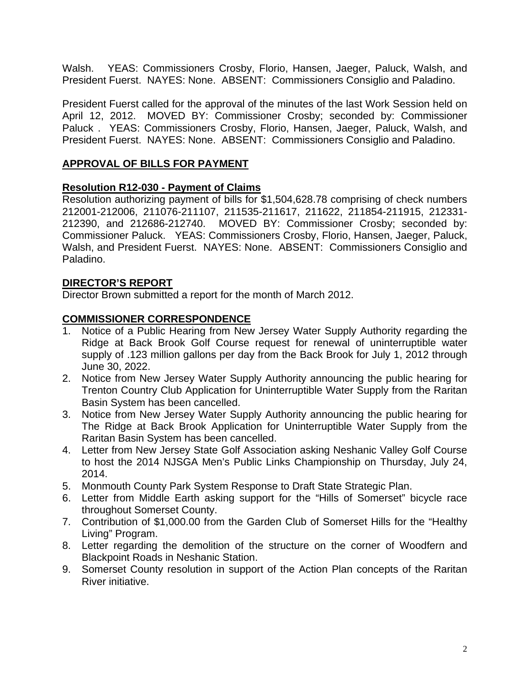Walsh. YEAS: Commissioners Crosby, Florio, Hansen, Jaeger, Paluck, Walsh, and President Fuerst. NAYES: None. ABSENT: Commissioners Consiglio and Paladino.

President Fuerst called for the approval of the minutes of the last Work Session held on April 12, 2012. MOVED BY: Commissioner Crosby; seconded by: Commissioner Paluck . YEAS: Commissioners Crosby, Florio, Hansen, Jaeger, Paluck, Walsh, and President Fuerst. NAYES: None. ABSENT: Commissioners Consiglio and Paladino.

# **APPROVAL OF BILLS FOR PAYMENT**

# **Resolution R12-030 - Payment of Claims**

Resolution authorizing payment of bills for \$1,504,628.78 comprising of check numbers 212001-212006, 211076-211107, 211535-211617, 211622, 211854-211915, 212331- 212390, and 212686-212740. MOVED BY: Commissioner Crosby; seconded by: Commissioner Paluck. YEAS: Commissioners Crosby, Florio, Hansen, Jaeger, Paluck, Walsh, and President Fuerst. NAYES: None. ABSENT: Commissioners Consiglio and Paladino.

# **DIRECTOR'S REPORT**

Director Brown submitted a report for the month of March 2012.

# **COMMISSIONER CORRESPONDENCE**

- 1. Notice of a Public Hearing from New Jersey Water Supply Authority regarding the Ridge at Back Brook Golf Course request for renewal of uninterruptible water supply of .123 million gallons per day from the Back Brook for July 1, 2012 through June 30, 2022.
- 2. Notice from New Jersey Water Supply Authority announcing the public hearing for Trenton Country Club Application for Uninterruptible Water Supply from the Raritan Basin System has been cancelled.
- 3. Notice from New Jersey Water Supply Authority announcing the public hearing for The Ridge at Back Brook Application for Uninterruptible Water Supply from the Raritan Basin System has been cancelled.
- 4. Letter from New Jersey State Golf Association asking Neshanic Valley Golf Course to host the 2014 NJSGA Men's Public Links Championship on Thursday, July 24, 2014.
- 5. Monmouth County Park System Response to Draft State Strategic Plan.
- 6. Letter from Middle Earth asking support for the "Hills of Somerset" bicycle race throughout Somerset County.
- 7. Contribution of \$1,000.00 from the Garden Club of Somerset Hills for the "Healthy Living" Program.
- 8. Letter regarding the demolition of the structure on the corner of Woodfern and Blackpoint Roads in Neshanic Station.
- 9. Somerset County resolution in support of the Action Plan concepts of the Raritan River initiative.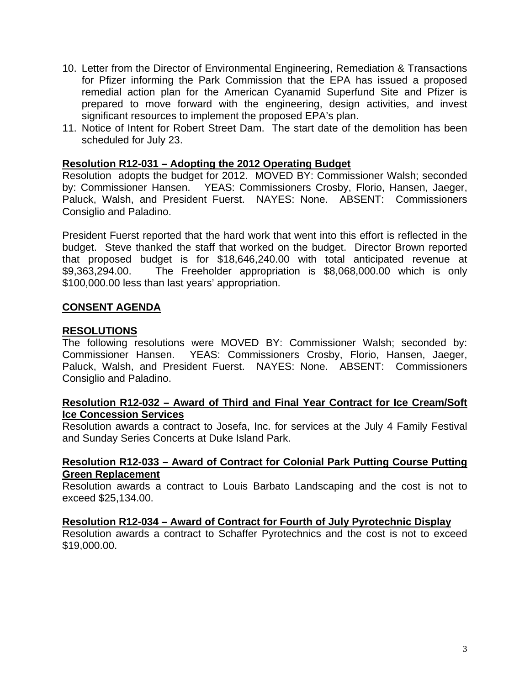- 10. Letter from the Director of Environmental Engineering, Remediation & Transactions for Pfizer informing the Park Commission that the EPA has issued a proposed remedial action plan for the American Cyanamid Superfund Site and Pfizer is prepared to move forward with the engineering, design activities, and invest significant resources to implement the proposed EPA's plan.
- 11. Notice of Intent for Robert Street Dam. The start date of the demolition has been scheduled for July 23.

#### **Resolution R12-031 – Adopting the 2012 Operating Budget**

Resolution adopts the budget for 2012. MOVED BY: Commissioner Walsh; seconded by: Commissioner Hansen. YEAS: Commissioners Crosby, Florio, Hansen, Jaeger, Paluck, Walsh, and President Fuerst. NAYES: None. ABSENT: Commissioners Consiglio and Paladino.

President Fuerst reported that the hard work that went into this effort is reflected in the budget. Steve thanked the staff that worked on the budget. Director Brown reported that proposed budget is for \$18,646,240.00 with total anticipated revenue at \$9,363,294.00. The Freeholder appropriation is \$8,068,000.00 which is only \$100,000.00 less than last years' appropriation.

#### **CONSENT AGENDA**

#### **RESOLUTIONS**

The following resolutions were MOVED BY: Commissioner Walsh; seconded by: Commissioner Hansen. YEAS: Commissioners Crosby, Florio, Hansen, Jaeger, Paluck, Walsh, and President Fuerst. NAYES: None. ABSENT: Commissioners Consiglio and Paladino.

#### **Resolution R12-032 – Award of Third and Final Year Contract for Ice Cream/Soft Ice Concession Services**

Resolution awards a contract to Josefa, Inc. for services at the July 4 Family Festival and Sunday Series Concerts at Duke Island Park.

#### **Resolution R12-033 – Award of Contract for Colonial Park Putting Course Putting Green Replacement**

Resolution awards a contract to Louis Barbato Landscaping and the cost is not to exceed \$25,134.00.

#### **Resolution R12-034 – Award of Contract for Fourth of July Pyrotechnic Display**

Resolution awards a contract to Schaffer Pyrotechnics and the cost is not to exceed \$19,000.00.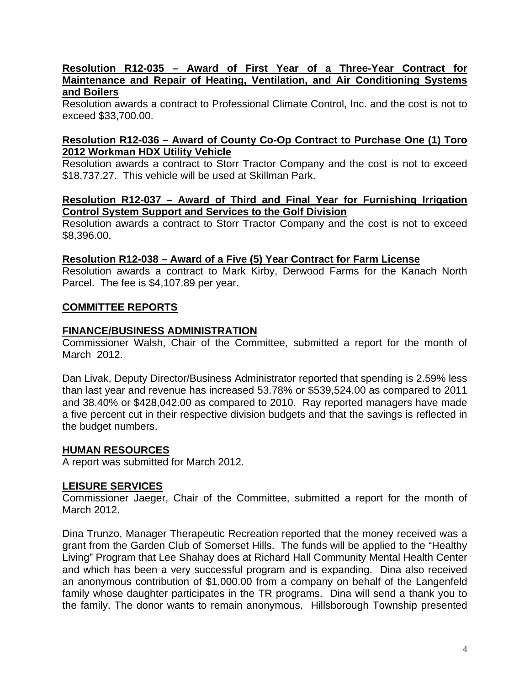#### **Resolution R12-035 – Award of First Year of a Three-Year Contract for Maintenance and Repair of Heating, Ventilation, and Air Conditioning Systems and Boilers**

Resolution awards a contract to Professional Climate Control, Inc. and the cost is not to exceed \$33,700.00.

# **Resolution R12-036 – Award of County Co-Op Contract to Purchase One (1) Toro 2012 Workman HDX Utility Vehicle**

Resolution awards a contract to Storr Tractor Company and the cost is not to exceed \$18,737.27. This vehicle will be used at Skillman Park.

#### **Resolution R12-037 – Award of Third and Final Year for Furnishing Irrigation Control System Support and Services to the Golf Division**

Resolution awards a contract to Storr Tractor Company and the cost is not to exceed \$8,396.00.

### **Resolution R12-038 – Award of a Five (5) Year Contract for Farm License**

Resolution awards a contract to Mark Kirby, Derwood Farms for the Kanach North Parcel. The fee is \$4,107.89 per year.

### **COMMITTEE REPORTS**

### **FINANCE/BUSINESS ADMINISTRATION**

Commissioner Walsh, Chair of the Committee, submitted a report for the month of March 2012.

Dan Livak, Deputy Director/Business Administrator reported that spending is 2.59% less than last year and revenue has increased 53.78% or \$539,524.00 as compared to 2011 and 38.40% or \$428,042.00 as compared to 2010. Ray reported managers have made a five percent cut in their respective division budgets and that the savings is reflected in the budget numbers.

### **HUMAN RESOURCES**

A report was submitted for March 2012.

### **LEISURE SERVICES**

Commissioner Jaeger, Chair of the Committee, submitted a report for the month of March 2012.

Dina Trunzo, Manager Therapeutic Recreation reported that the money received was a grant from the Garden Club of Somerset Hills. The funds will be applied to the "Healthy Living" Program that Lee Shahay does at Richard Hall Community Mental Health Center and which has been a very successful program and is expanding. Dina also received an anonymous contribution of \$1,000.00 from a company on behalf of the Langenfeld family whose daughter participates in the TR programs. Dina will send a thank you to the family. The donor wants to remain anonymous. Hillsborough Township presented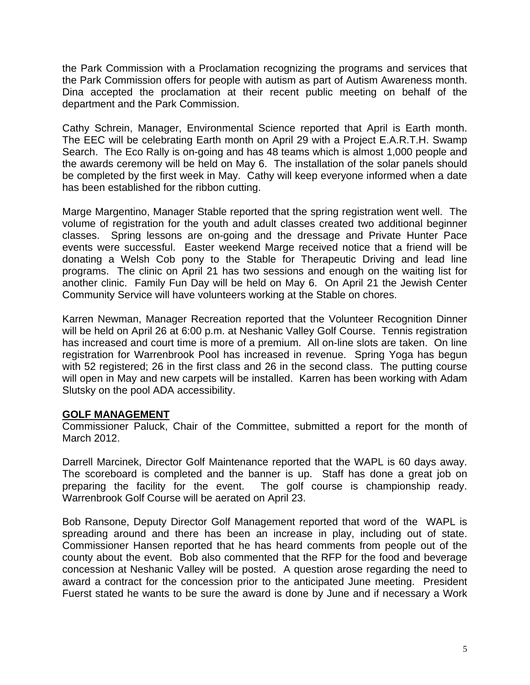the Park Commission with a Proclamation recognizing the programs and services that the Park Commission offers for people with autism as part of Autism Awareness month. Dina accepted the proclamation at their recent public meeting on behalf of the department and the Park Commission.

Cathy Schrein, Manager, Environmental Science reported that April is Earth month. The EEC will be celebrating Earth month on April 29 with a Project E.A.R.T.H. Swamp Search. The Eco Rally is on-going and has 48 teams which is almost 1,000 people and the awards ceremony will be held on May 6. The installation of the solar panels should be completed by the first week in May. Cathy will keep everyone informed when a date has been established for the ribbon cutting.

Marge Margentino, Manager Stable reported that the spring registration went well. The volume of registration for the youth and adult classes created two additional beginner classes. Spring lessons are on-going and the dressage and Private Hunter Pace events were successful. Easter weekend Marge received notice that a friend will be donating a Welsh Cob pony to the Stable for Therapeutic Driving and lead line programs. The clinic on April 21 has two sessions and enough on the waiting list for another clinic. Family Fun Day will be held on May 6. On April 21 the Jewish Center Community Service will have volunteers working at the Stable on chores.

Karren Newman, Manager Recreation reported that the Volunteer Recognition Dinner will be held on April 26 at 6:00 p.m. at Neshanic Valley Golf Course. Tennis registration has increased and court time is more of a premium. All on-line slots are taken. On line registration for Warrenbrook Pool has increased in revenue. Spring Yoga has begun with 52 registered; 26 in the first class and 26 in the second class. The putting course will open in May and new carpets will be installed. Karren has been working with Adam Slutsky on the pool ADA accessibility.

### **GOLF MANAGEMENT**

Commissioner Paluck, Chair of the Committee, submitted a report for the month of March 2012.

Darrell Marcinek, Director Golf Maintenance reported that the WAPL is 60 days away. The scoreboard is completed and the banner is up. Staff has done a great job on preparing the facility for the event. The golf course is championship ready. Warrenbrook Golf Course will be aerated on April 23.

Bob Ransone, Deputy Director Golf Management reported that word of the WAPL is spreading around and there has been an increase in play, including out of state. Commissioner Hansen reported that he has heard comments from people out of the county about the event. Bob also commented that the RFP for the food and beverage concession at Neshanic Valley will be posted. A question arose regarding the need to award a contract for the concession prior to the anticipated June meeting. President Fuerst stated he wants to be sure the award is done by June and if necessary a Work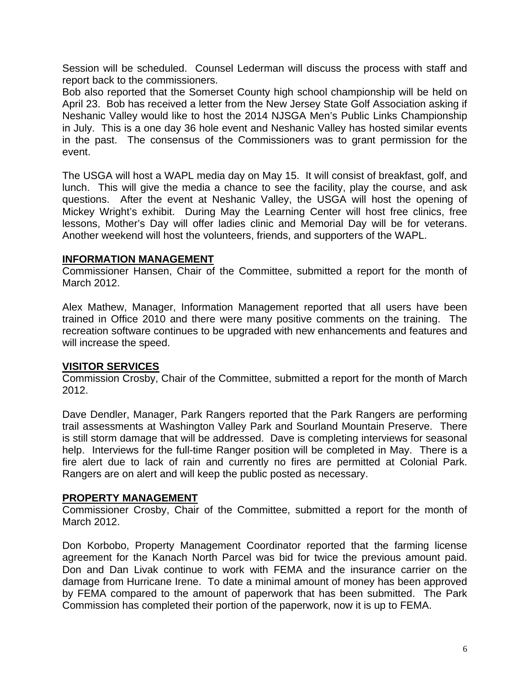Session will be scheduled. Counsel Lederman will discuss the process with staff and report back to the commissioners.

Bob also reported that the Somerset County high school championship will be held on April 23. Bob has received a letter from the New Jersey State Golf Association asking if Neshanic Valley would like to host the 2014 NJSGA Men's Public Links Championship in July. This is a one day 36 hole event and Neshanic Valley has hosted similar events in the past. The consensus of the Commissioners was to grant permission for the event.

The USGA will host a WAPL media day on May 15. It will consist of breakfast, golf, and lunch. This will give the media a chance to see the facility, play the course, and ask questions. After the event at Neshanic Valley, the USGA will host the opening of Mickey Wright's exhibit. During May the Learning Center will host free clinics, free lessons, Mother's Day will offer ladies clinic and Memorial Day will be for veterans. Another weekend will host the volunteers, friends, and supporters of the WAPL.

### **INFORMATION MANAGEMENT**

Commissioner Hansen, Chair of the Committee, submitted a report for the month of March 2012.

Alex Mathew, Manager, Information Management reported that all users have been trained in Office 2010 and there were many positive comments on the training. The recreation software continues to be upgraded with new enhancements and features and will increase the speed.

# **VISITOR SERVICES**

Commission Crosby, Chair of the Committee, submitted a report for the month of March 2012.

Dave Dendler, Manager, Park Rangers reported that the Park Rangers are performing trail assessments at Washington Valley Park and Sourland Mountain Preserve. There is still storm damage that will be addressed. Dave is completing interviews for seasonal help. Interviews for the full-time Ranger position will be completed in May. There is a fire alert due to lack of rain and currently no fires are permitted at Colonial Park. Rangers are on alert and will keep the public posted as necessary.

### **PROPERTY MANAGEMENT**

Commissioner Crosby, Chair of the Committee, submitted a report for the month of March 2012.

Don Korbobo, Property Management Coordinator reported that the farming license agreement for the Kanach North Parcel was bid for twice the previous amount paid. Don and Dan Livak continue to work with FEMA and the insurance carrier on the damage from Hurricane Irene. To date a minimal amount of money has been approved by FEMA compared to the amount of paperwork that has been submitted. The Park Commission has completed their portion of the paperwork, now it is up to FEMA.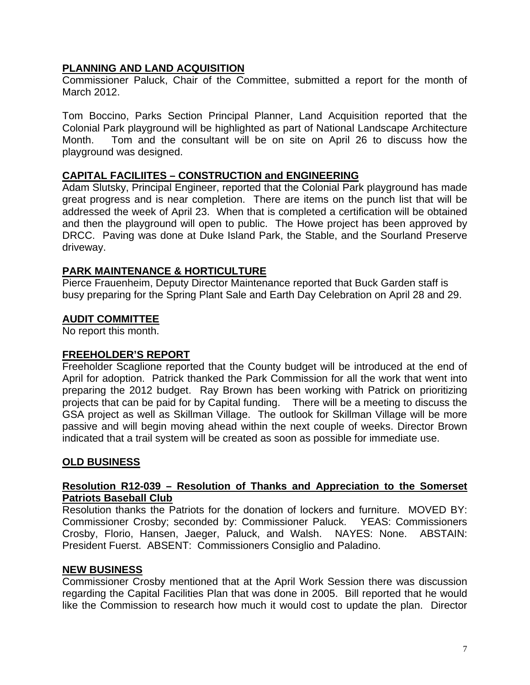# **PLANNING AND LAND ACQUISITION**

Commissioner Paluck, Chair of the Committee, submitted a report for the month of March 2012.

Tom Boccino, Parks Section Principal Planner, Land Acquisition reported that the Colonial Park playground will be highlighted as part of National Landscape Architecture Month. Tom and the consultant will be on site on April 26 to discuss how the playground was designed.

# **CAPITAL FACILIITES – CONSTRUCTION and ENGINEERING**

Adam Slutsky, Principal Engineer, reported that the Colonial Park playground has made great progress and is near completion. There are items on the punch list that will be addressed the week of April 23. When that is completed a certification will be obtained and then the playground will open to public. The Howe project has been approved by DRCC. Paving was done at Duke Island Park, the Stable, and the Sourland Preserve driveway.

# **PARK MAINTENANCE & HORTICULTURE**

Pierce Frauenheim, Deputy Director Maintenance reported that Buck Garden staff is busy preparing for the Spring Plant Sale and Earth Day Celebration on April 28 and 29.

# **AUDIT COMMITTEE**

No report this month.

### **FREEHOLDER'S REPORT**

Freeholder Scaglione reported that the County budget will be introduced at the end of April for adoption. Patrick thanked the Park Commission for all the work that went into preparing the 2012 budget. Ray Brown has been working with Patrick on prioritizing projects that can be paid for by Capital funding. There will be a meeting to discuss the GSA project as well as Skillman Village. The outlook for Skillman Village will be more passive and will begin moving ahead within the next couple of weeks. Director Brown indicated that a trail system will be created as soon as possible for immediate use.

# **OLD BUSINESS**

### **Resolution R12-039 – Resolution of Thanks and Appreciation to the Somerset Patriots Baseball Club**

Resolution thanks the Patriots for the donation of lockers and furniture. MOVED BY: Commissioner Crosby; seconded by: Commissioner Paluck. YEAS: Commissioners Crosby, Florio, Hansen, Jaeger, Paluck, and Walsh. NAYES: None. ABSTAIN: President Fuerst. ABSENT: Commissioners Consiglio and Paladino.

### **NEW BUSINESS**

Commissioner Crosby mentioned that at the April Work Session there was discussion regarding the Capital Facilities Plan that was done in 2005. Bill reported that he would like the Commission to research how much it would cost to update the plan. Director